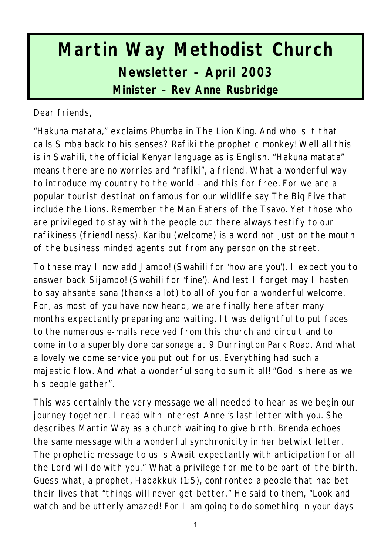# **Martin Way Methodist Church Newsletter – April 2003 Minister – Rev Anne Rusbridge**

Dear friends,

"Hakuna matata," exclaims Phumba in The Lion King. And who is it that calls Simba back to his senses? Rafiki the prophetic monkey! Well all this is in Swahili, the official Kenyan language as is English. "Hakuna matata" means there are no worries and "rafiki", a friend. What a wonderful way to introduce my country to the world - and this for free. For we are a popular tourist destination famous for our wildlife say The Big Five that include the Lions. Remember the Man Eaters of the Tsavo. Yet those who are privileged to stay with the people out there always testify to our rafikiness (friendliness). Karibu (welcome) is a word not just on the mouth of the business minded agents but from any person on the street.

To these may I now add Jambo! (Swahili for 'how are you'). I expect you to answer back Sijambo! (Swahili for 'fine'). And lest I forget may I hasten to say ahsante sana (thanks a lot) to all of you for a wonderful welcome. For, as most of you have now heard, we are finally here after many months expectantly preparing and waiting. It was delightful to put faces to the numerous e-mails received from this church and circuit and to come in to a superbly done parsonage at 9 Durrington Park Road. And what a lovely welcome service you put out for us. Everything had such a majestic flow. And what a wonderful song to sum it all! "God is here as we his people gather".

This was certainly the very message we all needed to hear as we begin our journey together. I read with interest Anne 's last letter with you. She describes Martin Way as a church waiting to give birth. Brenda echoes the same message with a wonderful synchronicity in her betwixt letter. The prophetic message to us is Await expectantly with anticipation for all the Lord will do with you." What a privilege for me to be part of the birth. Guess what, a prophet, Habakkuk (1:5), confronted a people that had bet their lives that "things will never get better." He said to them, "Look and watch and be utterly amazed! For I am going to do something in your days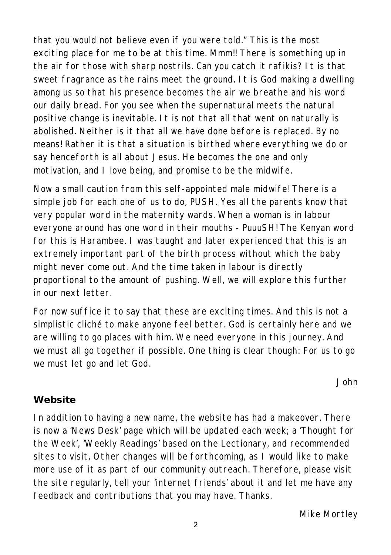that you would not believe even if you were told." This is the most exciting place for me to be at this time. Mmm!! There is something up in the air for those with sharp nostrils. Can you catch it rafikis? It is that sweet fragrance as the rains meet the ground. It is God making a dwelling among us so that his presence becomes the air we breathe and his word our daily bread. For you see when the supernatural meets the natural positive change is inevitable. It is not that all that went on naturally is abolished. Neither is it that all we have done before is replaced. By no means! Rather it is that a situation is birthed where everything we do or say henceforth is all about Jesus. He becomes the one and only motivation, and I love being, and promise to be the midwife.

Now a small caution from this self-appointed male midwife! There is a simple job for each one of us to do, PUSH. Yes all the parents know that very popular word in the maternity wards. When a woman is in labour everyone around has one word in their mouths - PuuuSH! The Kenyan word for this is Harambee. I was taught and later experienced that this is an extremely important part of the birth process without which the baby might never come out. And the time taken in labour is directly proportional to the amount of pushing. Well, we will explore this further in our next letter.

For now suffice it to say that these are exciting times. And this is not a simplistic cliché to make anyone feel better. God is certainly here and we are willing to go places with him. We need everyone in this journey. And we must all go together if possible. One thing is clear though: For us to go we must let go and let God.

*John*

# **Website**

In addition to having a new name, the website has had a makeover. There is now a 'News Desk' page which will be updated each week; a 'Thought for the Week', 'Weekly Readings' based on the Lectionary, and recommended sites to visit. Other changes will be forthcoming, as I would like to make more use of it as part of our community outreach. Therefore, please visit the site regularly, tell your 'internet friends' about it and let me have any feedback and contributions that you may have. Thanks.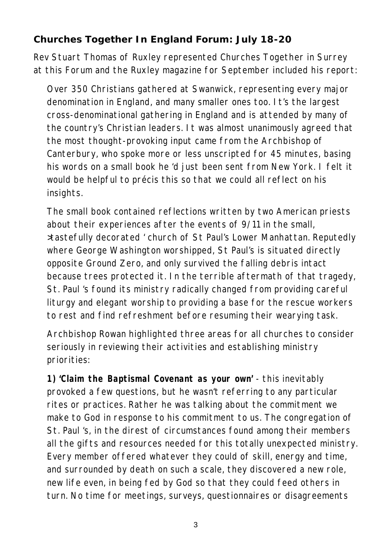#### **Churches Together In England Forum: July 18-20**

Rev Stuart Thomas of Ruxley represented Churches Together in Surrey at this Forum and the Ruxley magazine for September included his report:

Over 350 Christians gathered at Swanwick, representing every major denomination in England, and many smaller ones too. It's the largest cross-denominational gathering in England and is attended by many of the country's Christian leaders. It was almost unanimously agreed that the most thought-provoking input came from the Archbishop of Canterbury, who spoke more or less unscripted for 45 minutes, basing his words on a small book he 'd just been sent from New York. I felt it would be helpful to précis this so that we could all reflect on his insights.

The small book contained reflections written by two American priests about their experiences after the events of 9/11 in the small, >tastefully decorated ' church of St Paul's Lower Manhattan. Reputedly where George Washington worshipped, St Paul's is situated directly opposite Ground Zero, and only survived the falling debris intact because trees protected it. In the terrible aftermath of that tragedy, St. Paul 's found its ministry radically changed from providing careful liturgy and elegant worship to providing a base for the rescue workers to rest and find refreshment before resuming their wearying task.

Archbishop Rowan highlighted three areas for all churches to consider seriously in reviewing their activities and establishing ministry priorities:

**1) 'Claim the Baptismal Covenant as your own'** - this inevitably provoked a few questions, but he wasn't referring to any particular rites or practices. Rather he was talking about the commitment we make to God in response to his commitment to us. The congregation of St. Paul 's, in the direst of circumstances found among their members all the gifts and resources needed for this totally unexpected ministry. Every member offered whatever they could of skill, energy and time, and surrounded by death on such a scale, they discovered a new role, new life even, in being fed by God so that they could feed others in turn. No time for meetings, surveys, questionnaires or disagreements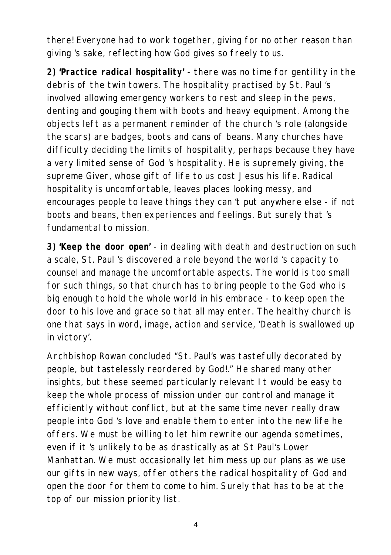there! Everyone had to work together, giving for no other reason than giving 's sake, reflecting how God gives so freely to us.

**2) 'Practice radical hospitality'** - there was no time for gentility in the debris of the twin towers. The hospitality practised by St. Paul 's involved allowing emergency workers to rest and sleep in the pews, denting and gouging them with boots and heavy equipment. Among the objects left as a permanent reminder of the church 's role (alongside the scars) are badges, boots and cans of beans. Many churches have difficulty deciding the limits of hospitality, perhaps because they have a very limited sense of God 's hospitality. He is supremely giving, the supreme Giver, whose gift of life to us cost Jesus his life. Radical hospitality is uncomfortable, leaves places looking messy, and encourages people to leave things they can 't put anywhere else - if not boots and beans, then experiences and feelings. But surely that 's fundamental to mission.

**3) 'Keep the door open'** - in dealing with death and destruction on such a scale, St. Paul 's discovered a role beyond the world 's capacity to counsel and manage the uncomfortable aspects. The world is too small for such things, so that church has to bring people to the God who is big enough to hold the whole world in his embrace - to keep open the door to his love and grace so that all may enter. The healthy church is one that says in word, image, action and service, 'Death is swallowed up in victory'.

Archbishop Rowan concluded "St. Paul's was tastefully decorated by people, but tastelessly reordered by God!." He shared many other insights, but these seemed particularly relevant It would be easy to keep the whole process of mission under our control and manage it efficiently without conflict, but at the same time never really draw people into God 's love and enable them to enter into the new life he offers. We must be willing to let him rewrite our agenda sometimes, even if it 's unlikely to be as drastically as at St Paul's Lower Manhattan. We must occasionally let him mess up our plans as we use our gifts in new ways, offer others the radical hospitality of God and open the door for them to come to him. Surely that has to be at the top of our mission priority list.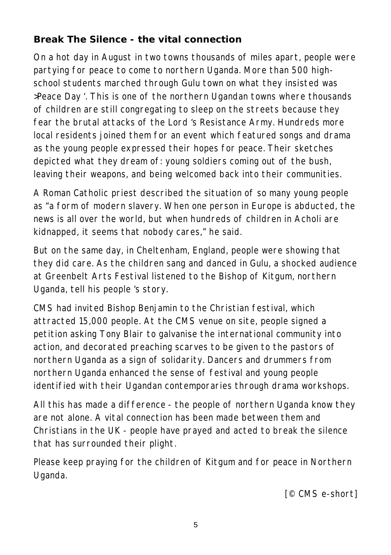# **Break The Silence - the vital connection**

On a hot day in August in two towns thousands of miles apart, people were partying for peace to come to northern Uganda. More than 500 highschool students marched through Gulu town on what they insisted was >Peace Day '. This is one of the northern Ugandan towns where thousands of children are still congregating to sleep on the streets because they fear the brutal attacks of the Lord 's Resistance Army. Hundreds more local residents joined them for an event which featured songs and drama as the young people expressed their hopes for peace. Their sketches depicted what they dream of: young soldiers coming out of the bush, leaving their weapons, and being welcomed back into their communities.

A Roman Catholic priest described the situation of so many young people as "a form of modern slavery. When one person in Europe is abducted, the news is all over the world, but when hundreds of children in Acholi are kidnapped, it seems that nobody cares," he said.

But on the same day, in Cheltenham, England, people were showing that they did care. As the children sang and danced in Gulu, a shocked audience at Greenbelt Arts Festival listened to the Bishop of Kitgum, northern Uganda, tell his people 's story.

CMS had invited Bishop Benjamin to the Christian festival, which attracted 15,000 people. At the CMS venue on site, people signed a petition asking Tony Blair to galvanise the international community into action, and decorated preaching scarves to be given to the pastors of northern Uganda as a sign of solidarity. Dancers and drummers from northern Uganda enhanced the sense of festival and young people identified with their Ugandan contemporaries through drama workshops.

All this has made a difference - the people of northern Uganda know they are not alone. A vital connection has been made between them and Christians in the UK - people have prayed and acted to break the silence that has surrounded their plight.

Please keep praying for the children of Kitgum and for peace in Northern Uganda.

*[© CMS e-short]*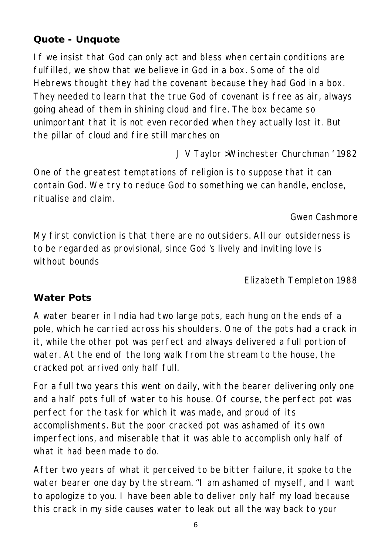#### **Quote - Unquote**

If we insist that God can only act and bless when certain conditions are fulfilled, we show that we believe in God in a box. Some of the old Hebrews thought they had the covenant because they had God in a box. They needed to learn that the true God of covenant is free as air, always going ahead of them in shining cloud and fire. The box became so unimportant that it is not even recorded when they actually lost it. But the pillar of cloud and fire still marches on

*J V Taylor >Winchester Churchman ' 1982*

One of the greatest temptations of religion is to suppose that it can contain God. We try to reduce God to something we can handle, enclose, ritualise and claim.

#### *Gwen Cashmore*

My first conviction is that there are no outsiders. All our outsiderness is to be regarded as provisional, since God 's lively and inviting love is without bounds

*Elizabeth Templeton 1988*

#### **Water Pots**

A water bearer in India had two large pots, each hung on the ends of a pole, which he carried across his shoulders. One of the pots had a crack in it, while the other pot was perfect and always delivered a full portion of water. At the end of the long walk from the stream to the house, the cracked pot arrived only half full.

For a full two years this went on daily, with the bearer delivering only one and a half pots full of water to his house. Of course, the perfect pot was perfect for the task for which it was made, and proud of its accomplishments. But the poor cracked pot was ashamed of its own imperfections, and miserable that it was able to accomplish only half of what it had been made to do.

After two years of what it perceived to be bitter failure, it spoke to the water bearer one day by the stream. "I am ashamed of myself, and I want to apologize to you. I have been able to deliver only half my load because this crack in my side causes water to leak out all the way back to your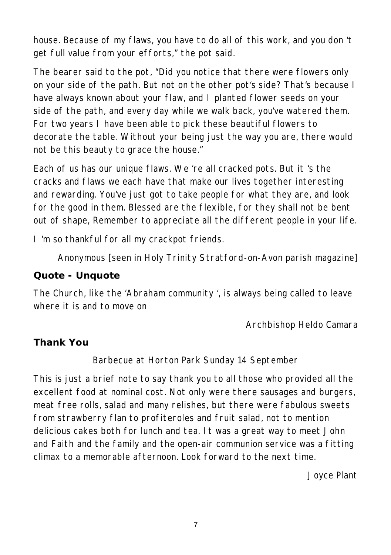house. Because of my flaws, you have to do all of this work, and you don 't get full value from your efforts," the pot said.

The bearer said to the pot, "Did you notice that there were flowers only on your side of the path. But not on the other pot's side? That's because I have always known about your flaw, and I planted flower seeds on your side of the path, and every day while we walk back, you've watered them. For two years I have been able to pick these beautiful flowers to decorate the table. Without your being just the way you are, there would not be this beauty to grace the house."

Each of us has our unique flaws. We 're all cracked pots. But it 's the cracks and flaws we each have that make our lives together interesting and rewarding. You've just got to take people for what they are, and look for the good in them. Blessed are the flexible, for they shall not be bent out of shape, Remember to appreciate all the different people in your life.

I 'm so thankful for all my crackpot friends.

*Anonymous [seen in Holy Trinity Stratford-on-Avon parish magazine]*

#### **Quote - Unquote**

The Church, like the 'Abraham community ', is always being called to leave where it is and to move on

*Archbishop Heldo Camara*

# **Thank You**

Barbecue at Horton Park Sunday 14 September

This is just a brief note to say thank you to all those who provided all the excellent food at nominal cost. Not only were there sausages and burgers, meat free rolls, salad and many relishes, but there were fabulous sweets from strawberry flan to profiteroles and fruit salad, not to mention delicious cakes both for lunch and tea. It was a great way to meet John and Faith and the family and the open-air communion service was a fitting climax to a memorable afternoon. Look forward to the next time.

*Joyce Plant*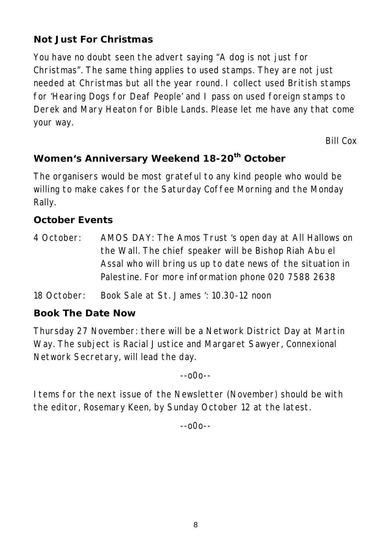# **Not Just For Christmas**

You have no doubt seen the advert saying "A dog is not just for Christmas". The same thing applies to used stamps. They are not just needed at Christmas but all the year round. I collect used British stamps for 'Hearing Dogs for Deaf People' and I pass on used foreign stamps to Derek and Mary Heaton for Bible Lands. Please let me have any that come your way.

*Bill Cox*

# **Women's Anniversary Weekend 18-20th October**

The organisers would be most grateful to any kind people who would be willing to make cakes for the Saturday Coffee Morning and the Monday Rally.

#### **October Events**

- 4 October: AMOS DAY: The Amos Trust 's open day at All Hallows on the Wall. The chief speaker will be Bishop Riah Abu el Assal who will bring us up to date news of the situation in Palestine. For more information phone 020 7588 2638
- 18 October: Book Sale at St. James ': 10.30-12 noon

#### **Book The Date Now**

Thursday 27 November: there will be a Network District Day at Martin Way. The subject is Racial Justice and Margaret Sawyer, Connexional Network Secretary, will lead the day.

--o0o--

Items for the next issue of the Newsletter (November) should be with the editor, Rosemary Keen, by Sunday October 12 at the latest.

--o0o--